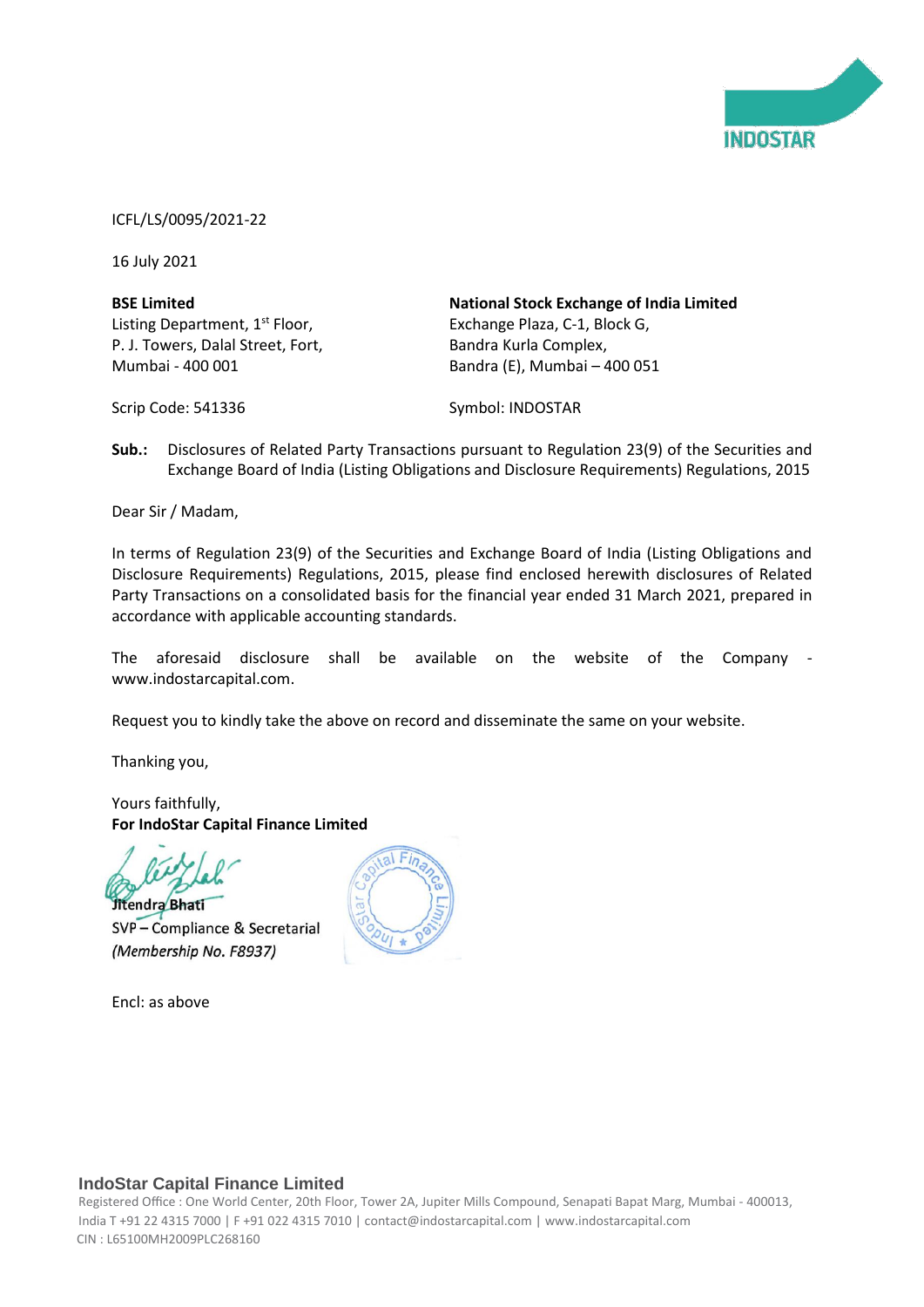

ICFL/LS/0095/2021-22

16 July 2021

**BSE Limited** Listing Department, 1<sup>st</sup> Floor, P. J. Towers, Dalal Street, Fort, Mumbai - 400 001

**National Stock Exchange of India Limited** Exchange Plaza, C-1, Block G, Bandra Kurla Complex, Bandra (E), Mumbai – 400 051

Scrip Code: 541336

Symbol: INDOSTAR

**Sub.:** Disclosures of Related Party Transactions pursuant to Regulation 23(9) of the Securities and Exchange Board of India (Listing Obligations and Disclosure Requirements) Regulations, 2015

Dear Sir / Madam,

In terms of Regulation 23(9) of the Securities and Exchange Board of India (Listing Obligations and Disclosure Requirements) Regulations, 2015, please find enclosed herewith disclosures of Related Party Transactions on a consolidated basis for the financial year ended 31 March 2021, prepared in accordance with applicable accounting standards.

The aforesaid disclosure shall be available on the website of the Company www.indostarcapital.com.

Request you to kindly take the above on record and disseminate the same on your website.

Thanking you,

Yours faithfully, **For IndoStar Capital Finance Limited**

Jitendra Bhati SVP - Compliance & Secretarial (Membership No. F8937)

Encl: as above



# **IndoStar Capital Finance Limited**